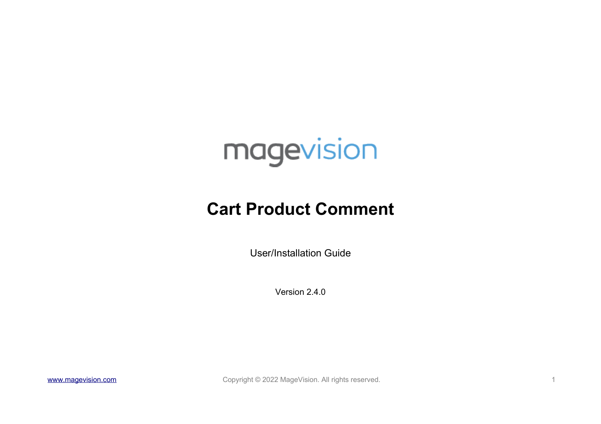

# **Cart Product Comment**

User/Installation Guide

Version 2.4.0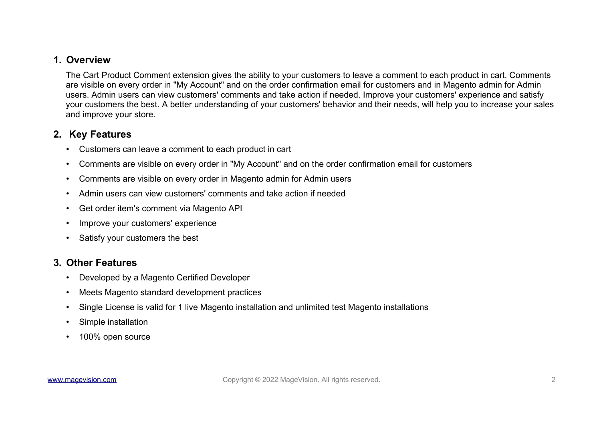# **1. Overview**

The Cart Product Comment extension gives the ability to your customers to leave a comment to each product in cart. Comments are visible on every order in "My Account" and on the order confirmation email for customers and in Magento admin for Admin users. Admin users can view customers' comments and take action if needed. Improve your customers' experience and satisfy your customers the best. A better understanding of your customers' behavior and their needs, will help you to increase your sales and improve your store.

# **2. Key Features**

- Customers can leave a comment to each product in cart
- Comments are visible on every order in "My Account" and on the order confirmation email for customers
- Comments are visible on every order in Magento admin for Admin users
- Admin users can view customers' comments and take action if needed
- Get order item's comment via Magento API
- Improve your customers' experience
- Satisfy your customers the best

# **3. Other Features**

- Developed by a Magento Certified Developer
- Meets Magento standard development practices
- Single License is valid for 1 live Magento installation and unlimited test Magento installations
- Simple installation
- 100% open source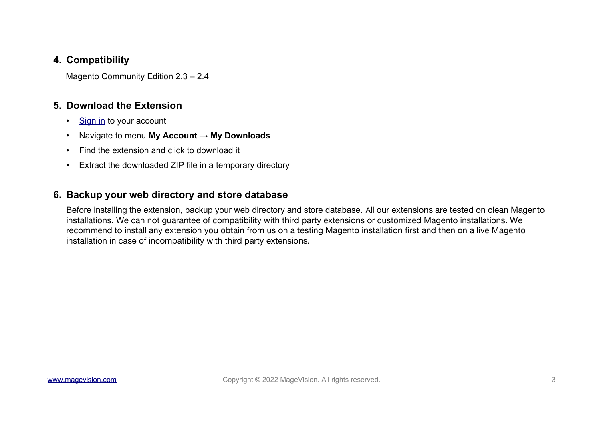# **4. Compatibility**

Magento Community Edition 2.3 – 2.4

# **5. Download the Extension**

- [Sign in](https://www.magevision.com/customer/account/login/) to your account
- Navigate to menu **My Account → My Downloads**
- Find the extension and click to download it
- Extract the downloaded ZIP file in a temporary directory

# **6. Backup your web directory and store database**

Before installing the extension, backup your web directory and store database. All our extensions are tested on clean Magento installations. We can not guarantee of compatibility with third party extensions or customized Magento installations. We recommend to install any extension you obtain from us on a testing Magento installation first and then on a live Magento installation in case of incompatibility with third party extensions.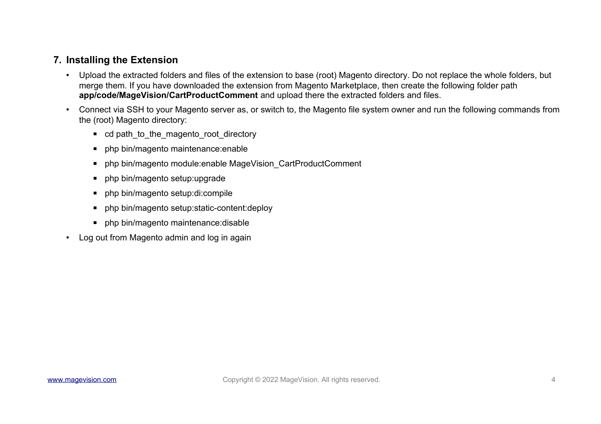# **7. Installing the Extension**

- Upload the extracted folders and files of the extension to base (root) Magento directory. Do not replace the whole folders, but merge them. If you have downloaded the extension from Magento Marketplace, then create the following folder path **app/code/MageVision/CartProductComment** and upload there the extracted folders and files.
- Connect via SSH to your Magento server as, or switch to, the Magento file system owner and run the following commands from the (root) Magento directory:
	- cd path\_to\_the\_magento\_root\_directory
	- php bin/magento maintenance:enable
	- php bin/magento module:enable MageVision\_CartProductComment
	- php bin/magento setup:upgrade
	- php bin/magento setup:di:compile
	- php bin/magento setup: static-content: deploy
	- php bin/magento maintenance: disable
- Log out from Magento admin and log in again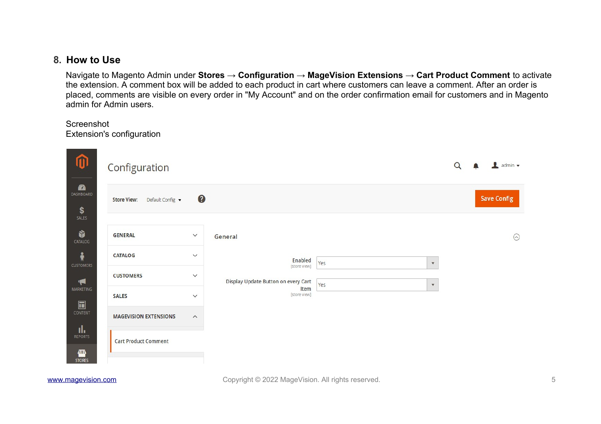#### **8. How to Use**

Navigate to Magento Admin under **Stores → Configuration → MageVision Extensions → Cart Product Comment** to activate the extension. A comment box will be added to each product in cart where customers can leave a comment. After an order is placed, comments are visible on every order in "My Account" and on the order confirmation email for customers and in Magento admin for Admin users.

#### Screenshot Extension's configuration

| $\boldsymbol{\hat{w}}$                   | Configuration                          | Q            | $\blacksquare$ admin $\blacktriangledown$ |     |                           |                    |
|------------------------------------------|----------------------------------------|--------------|-------------------------------------------|-----|---------------------------|--------------------|
| $\mathbf{a}$<br>DASHBOARD<br>\$<br>SALES | <b>Store View:</b><br>Default Config v | $\bullet$    |                                           |     |                           | <b>Save Config</b> |
| Ŵ<br>CATALOG                             | <b>GENERAL</b>                         | $\checkmark$ | General                                   |     |                           | $\odot$            |
| $\frac{2}{N}$<br><b>CUSTOMERS</b>        | CATALOG                                | $\checkmark$ | Enabled<br>[store view]                   | Yes | $\boldsymbol{\mathrm{v}}$ |                    |
| $\blacktriangleright$                    | <b>CUSTOMERS</b>                       | $\checkmark$ | Display Update Button on every Cart       | Yes | $\boldsymbol{\mathrm{v}}$ |                    |
| MARKETING<br>$\blacksquare$              | <b>SALES</b>                           | $\checkmark$ | Item<br>[store view]                      |     |                           |                    |
| CONTENT<br>īk,<br><b>REPORTS</b>         | <b>MAGEVISION EXTENSIONS</b>           | $\wedge$     |                                           |     |                           |                    |
| ▥<br><b>STORES</b>                       | <b>Cart Product Comment</b>            |              |                                           |     |                           |                    |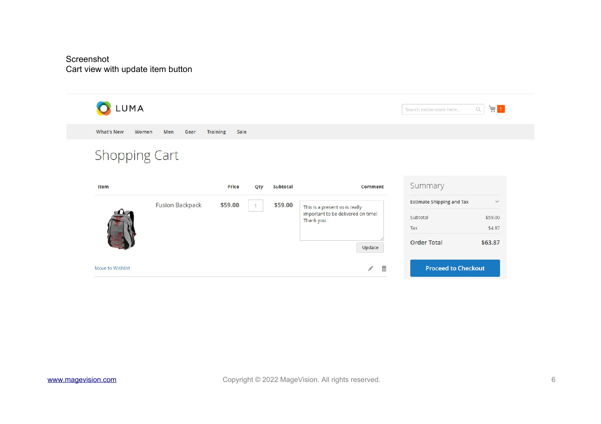#### Screenshot Cart view with update item button

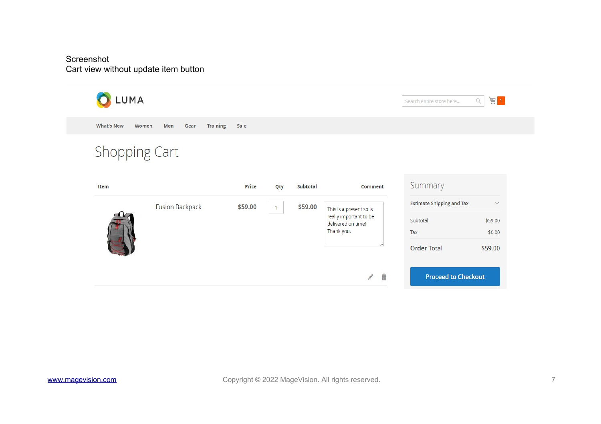#### Screenshot Cart view without update item button

| LUMA                       |                                |         |     |                   |                                              | Search entire store here         | $\frac{1}{2}$<br>$\hbox{\ensuremath{\mathsf{Q}}}$ |
|----------------------------|--------------------------------|---------|-----|-------------------|----------------------------------------------|----------------------------------|---------------------------------------------------|
| <b>What's New</b><br>Women | <b>Training</b><br>Men<br>Gear | Sale    |     |                   |                                              |                                  |                                                   |
| <b>Shopping Cart</b>       |                                |         |     |                   |                                              |                                  |                                                   |
| Item                       |                                | Price   | Qty | Subtotal          | Comment                                      | Summary                          |                                                   |
|                            | <b>Fusion Backpack</b>         | \$59.00 |     | \$59.00           | This is a present so is                      | <b>Estimate Shipping and Tax</b> | $\checkmark$                                      |
|                            |                                |         |     |                   | really important to be<br>delivered on time! | Subtotal                         | \$59.00                                           |
|                            |                                |         |     | Thank you.<br>Tax |                                              | \$0.00                           |                                                   |
|                            |                                |         |     |                   |                                              | <b>Order Total</b>               | \$59.00                                           |
|                            |                                |         |     |                   | Ê<br>$\mathcal{O}^{\circ}$                   | <b>Proceed to Checkout</b>       |                                                   |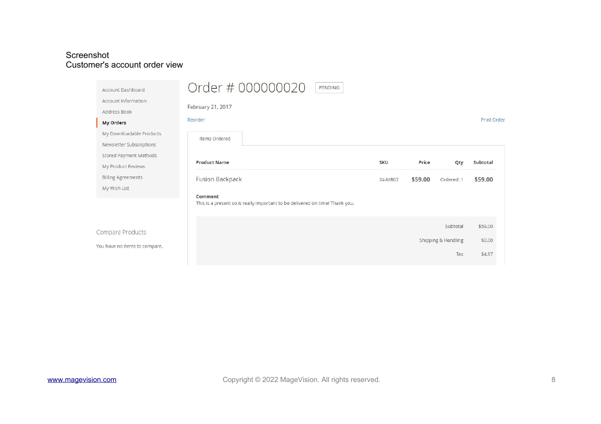#### Screenshot Customer's account order view

| <b>Account Dashboard</b><br><b>Account Information</b><br>Address Book<br><b>My Orders</b><br>My Downloadable Products | Order # 000000020<br>PENDING<br>February 21, 2017<br>Reorder<br>Items Ordered |                       |                  |                                        | <b>Print Order</b>          |
|------------------------------------------------------------------------------------------------------------------------|-------------------------------------------------------------------------------|-----------------------|------------------|----------------------------------------|-----------------------------|
| Newsletter Subscriptions<br>Stored Payment Methods<br>My Product Reviews<br><b>Billing Agreements</b><br>My Wish List  | <b>Product Name</b><br><b>Fusion Backpack</b><br>Comment                      | <b>SKU</b><br>24-MB02 | Price<br>\$59.00 | Qty<br>Ordered: 1                      | Subtotal<br>\$59.00         |
| Compare Products<br>You have no items to compare.                                                                      | This is a present so is really important to be delivered on time! Thank you.  |                       |                  | Subtotal<br>Shipping & Handling<br>Tax | \$59,00<br>\$0.00<br>\$4.87 |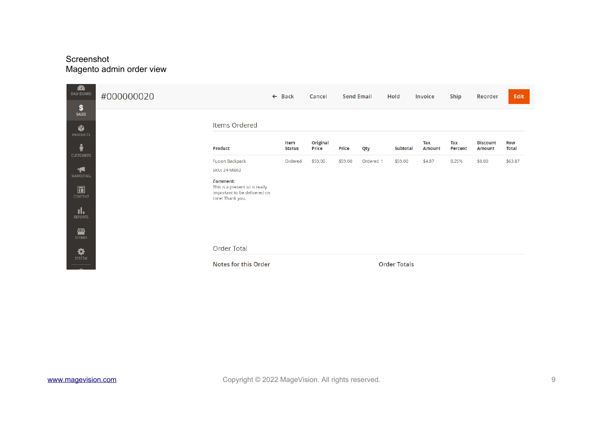# Screenshot Magento admin order view

| $\mathbf{r}$<br>DASHBOARD<br>\$             | #000000020 |                                                                                                                             | $\leftarrow$ Back     | Cancel                   | <b>Send Email</b> |           | Hold                | Invoice              | Ship           | Reorder                          | Edit                       |
|---------------------------------------------|------------|-----------------------------------------------------------------------------------------------------------------------------|-----------------------|--------------------------|-------------------|-----------|---------------------|----------------------|----------------|----------------------------------|----------------------------|
| SALES<br>Ŵ<br><b>PRODUCTS</b>               |            | Items Ordered                                                                                                               |                       |                          |                   |           |                     |                      |                |                                  |                            |
| ŵ<br><b>CUSTOMERS</b>                       |            | Product                                                                                                                     | Item<br><b>Status</b> | Original<br><b>Price</b> | <b>Price</b>      | Qty       | <b>Subtotal</b>     | Tax<br><b>Amount</b> | Tax<br>Percent | <b>Discount</b><br><b>Amount</b> | <b>Row</b><br><b>Total</b> |
| ◀<br><b>MARKETING</b><br>$\square$          |            | <b>Fusion Backpack</b><br><b>SKU: 24-MB02</b><br>Comment:<br>This is a present so is really<br>important to be delivered on | Ordered               | \$59.00                  | \$59.00           | Ordered 1 | \$59.00             | \$4.87               | 8.25%          | \$0.00                           | \$63.87                    |
| <b>CONTENT</b><br>d.<br><b>REPORTS</b><br>伵 |            | time! Thank you.                                                                                                            |                       |                          |                   |           |                     |                      |                |                                  |                            |
| <b>STORES</b><br>₩                          |            | <b>Order Total</b>                                                                                                          |                       |                          |                   |           |                     |                      |                |                                  |                            |
| SYSTEM                                      |            | Notes for this Order                                                                                                        |                       |                          |                   |           | <b>Order Totals</b> |                      |                |                                  |                            |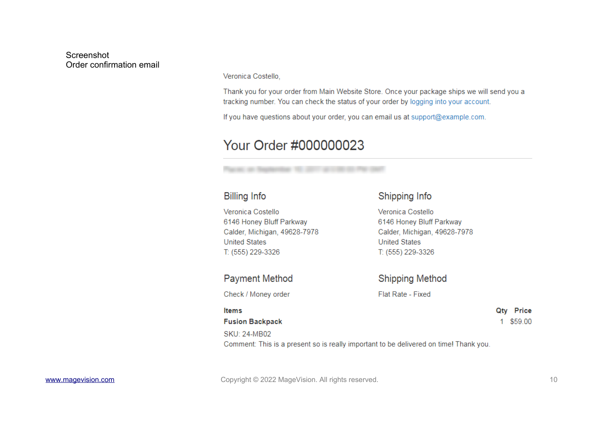#### Screenshot Order confirmation email

Veronica Costello.

Thank you for your order from Main Website Store. Once your package ships we will send you a tracking number. You can check the status of your order by logging into your account.

If you have questions about your order, you can email us at support@example.com.

# Your Order #000000023

#### **Billing Info**

#### Shipping Info

**Shipping Method** 

Flat Rate - Fixed

Veronica Costello Veronica Costello 6146 Honey Bluff Parkway 6146 Honey Bluff Parkway Calder, Michigan, 49628-7978 Calder, Michigan, 49628-7978 **United States United States** T: (555) 229-3326 T: (555) 229-3326

#### **Payment Method**

Check / Money order

#### **Items**

#### **Fusion Backpack**

**SKU: 24-MB02** 

Qty Price 1 \$59.00

# Comment: This is a present so is really important to be delivered on time! Thank you.